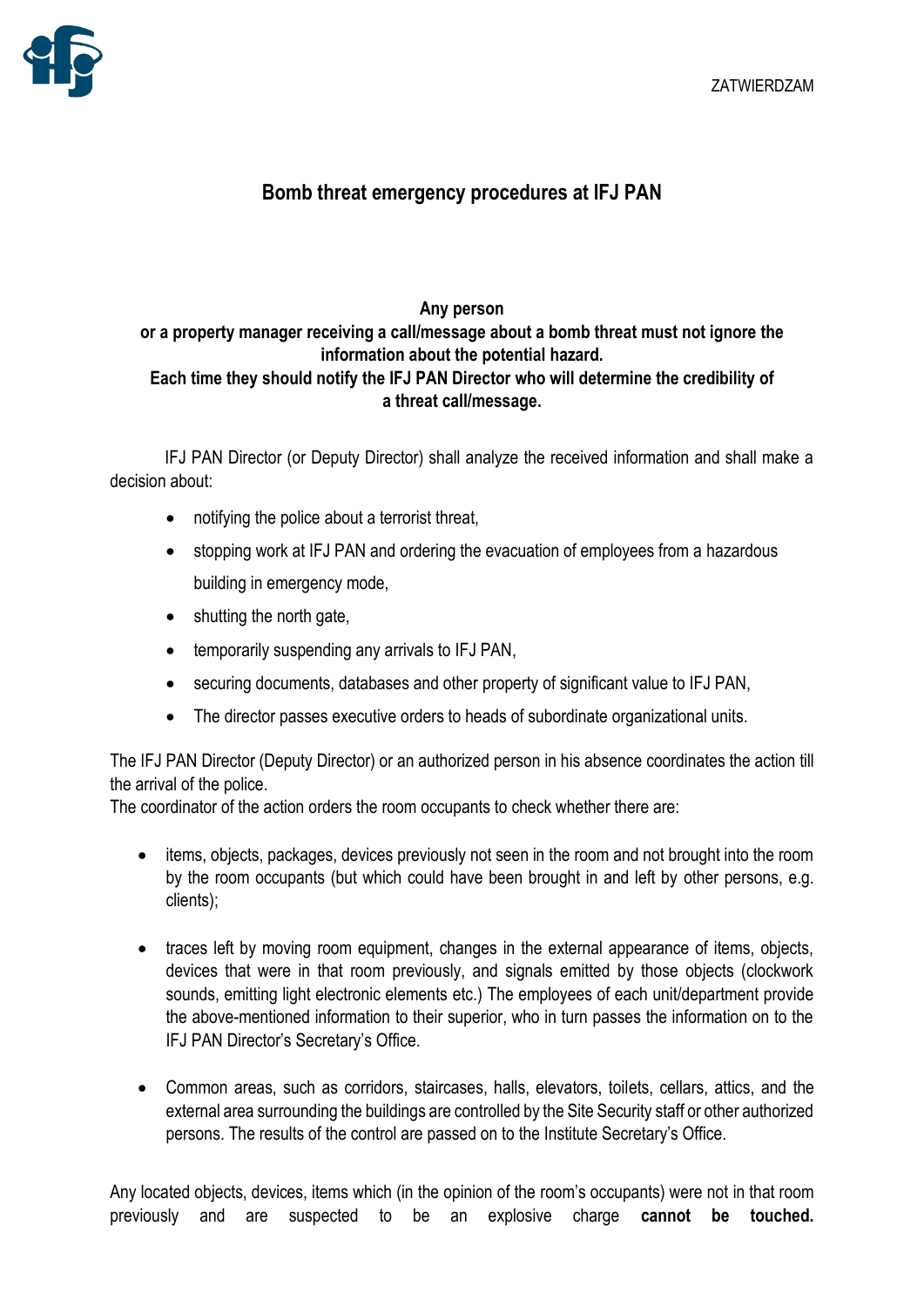

## **Bomb threat emergency procedures at IFJ PAN**

## **Any person or a property manager receiving a call/message about a bomb threat must not ignore the information about the potential hazard. Each time they should notify the IFJ PAN Director who will determine the credibility of a threat call/message.**

IFJ PAN Director (or Deputy Director) shall analyze the received information and shall make a decision about:

- notifying the police about a terrorist threat,
- stopping work at IFJ PAN and ordering the evacuation of employees from a hazardous building in emergency mode,
- shutting the north gate,
- temporarily suspending any arrivals to IFJ PAN,
- securing documents, databases and other property of significant value to IFJ PAN,
- The director passes executive orders to heads of subordinate organizational units.

The IFJ PAN Director (Deputy Director) or an authorized person in his absence coordinates the action till the arrival of the police.

The coordinator of the action orders the room occupants to check whether there are:

- items, objects, packages, devices previously not seen in the room and not brought into the room by the room occupants (but which could have been brought in and left by other persons, e.g. clients);
- traces left by moving room equipment, changes in the external appearance of items, objects, devices that were in that room previously, and signals emitted by those objects (clockwork sounds, emitting light electronic elements etc.) The employees of each unit/department provide the above-mentioned information to their superior, who in turn passes the information on to the IFJ PAN Director's Secretary's Office.
- Common areas, such as corridors, staircases, halls, elevators, toilets, cellars, attics, and the external area surrounding the buildings are controlled by the Site Security staff or other authorized persons. The results of the control are passed on to the Institute Secretary's Office.

Any located objects, devices, items which (in the opinion of the room's occupants) were not in that room previously and are suspected to be an explosive charge **cannot be touched.**